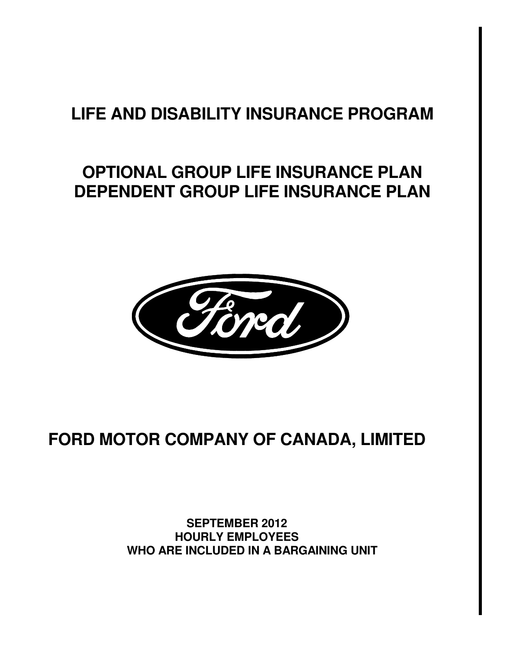# **LIFE AND DISABILITY INSURANCE PROGRAM**

# **OPTIONAL GROUP LIFE INSURANCE PLAN DEPENDENT GROUP LIFE INSURANCE PLAN**



# **FORD MOTOR COMPANY OF CANADA, LIMITED**

 **SEPTEMBER 2012 HOURLY EMPLOYEES WHO ARE INCLUDED IN A BARGAINING UNIT**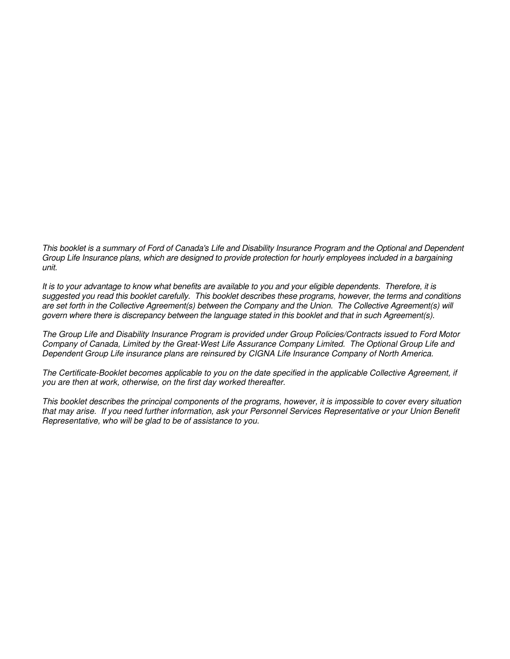This booklet is a summary of Ford of Canada's Life and Disability Insurance Program and the Optional and Dependent Group Life Insurance plans, which are designed to provide protection for hourly employees included in a bargaining unit.

It is to your advantage to know what benefits are available to you and your eligible dependents. Therefore, it is suggested you read this booklet carefully. This booklet describes these programs, however, the terms and conditions are set forth in the Collective Agreement(s) between the Company and the Union. The Collective Agreement(s) will govern where there is discrepancy between the language stated in this booklet and that in such Agreement(s).

The Group Life and Disability Insurance Program is provided under Group Policies/Contracts issued to Ford Motor Company of Canada, Limited by the Great-West Life Assurance Company Limited. The Optional Group Life and Dependent Group Life insurance plans are reinsured by CIGNA Life Insurance Company of North America.

The Certificate-Booklet becomes applicable to you on the date specified in the applicable Collective Agreement, if you are then at work, otherwise, on the first day worked thereafter.

This booklet describes the principal components of the programs, however, it is impossible to cover every situation that may arise. If you need further information, ask your Personnel Services Representative or your Union Benefit Representative, who will be glad to be of assistance to you.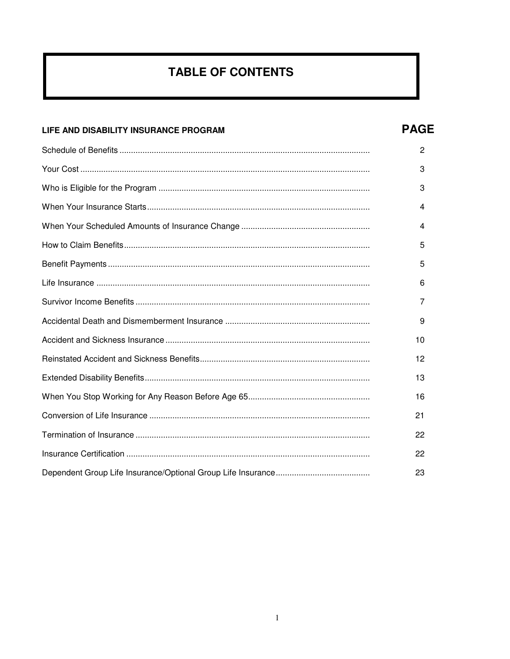# **TABLE OF CONTENTS**

# LIFE AND DISABILITY INSURANCE PROGRAM

# **PAGE**

| 2  |
|----|
| 3  |
| 3  |
| 4  |
| 4  |
| 5  |
| 5  |
| 6  |
| 7  |
| 9  |
| 10 |
| 12 |
| 13 |
| 16 |
| 21 |
| 22 |
| 22 |
| 23 |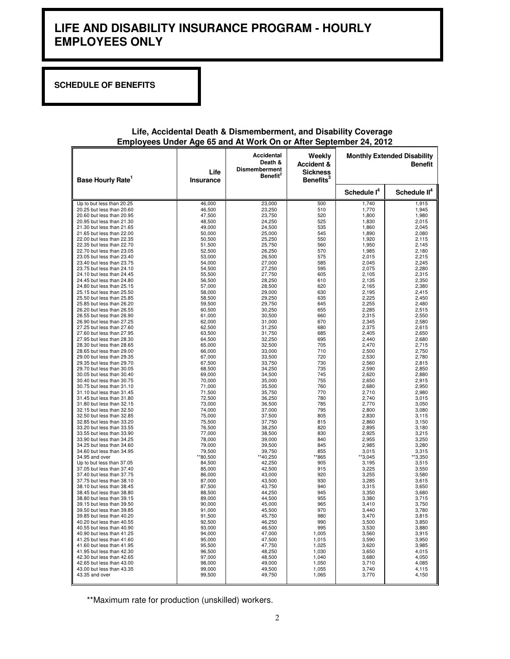# **LIFE AND DISABILITY INSURANCE PROGRAM - HOURLY EMPLOYEES ONLY**

**SCHEDULE OF BENEFITS** 

| Base Hourly Rate <sup>1</sup> | Life<br><b>Insurance</b> | Accidental<br>Death &<br><b>Dismemberment</b><br><b>Benefit<sup>2</sup></b> | Weekly<br><b>Accident &amp;</b><br><b>Sickness</b><br>Benefits <sup>3</sup> |                         | <b>Monthly Extended Disability</b><br><b>Benefit</b> |
|-------------------------------|--------------------------|-----------------------------------------------------------------------------|-----------------------------------------------------------------------------|-------------------------|------------------------------------------------------|
|                               |                          |                                                                             |                                                                             | Schedule I <sup>4</sup> | Schedule II <sup>4</sup>                             |
| Up to but less than 20.25     | 46,000                   | 23,000                                                                      | 500                                                                         | 1,740                   | 1,915                                                |
| 20.25 but less than 20.60     | 46,500                   | 23,250                                                                      | 510                                                                         | 1,770                   | 1,945                                                |
| 20.60 but less than 20.95     | 47,500                   | 23,750                                                                      | 520                                                                         | 1,800                   | 1,980                                                |
| 20.95 but less than 21.30     | 48,500                   | 24,250                                                                      | 525                                                                         | 1,830                   | 2,015                                                |
| 21.30 but less than 21.65     | 49,000                   | 24,500                                                                      | 535                                                                         | 1,860                   | 2,045                                                |
| 21.65 but less than 22.00     | 50,000                   | 25,000                                                                      | 545                                                                         | 1,890                   | 2,080                                                |
| 22.00 but less than 22.35     | 50,500                   | 25,250                                                                      | 550                                                                         | 1,920                   | 2,115                                                |
| 22.35 but less than 22.70     | 51,500                   | 25,750                                                                      | 560                                                                         | 1,950                   | 2,145                                                |
| 22.70 but less than 23.05     | 52,500                   | 26,250                                                                      | 570                                                                         | 1,985                   | 2,180                                                |
| 23.05 but less than 23.40     | 53,000                   | 26,500                                                                      | 575                                                                         | 2,015                   | 2,215                                                |
| 23.40 but less than 23.75     | 54,000                   | 27,000                                                                      | 585                                                                         | 2,045                   | 2,245                                                |
| 23.75 but less than 24.10     | 54,500                   | 27,250                                                                      | 595                                                                         | 2,075                   | 2,280                                                |
| 24.10 but less than 24.45     | 55,500                   | 27,750                                                                      | 605                                                                         | 2,105                   | 2,315                                                |
| 24.45 but less than 24.80     | 56,500                   | 28,250                                                                      | 610                                                                         | 2,135                   | 2,350                                                |
| 24.80 but less than 25.15     | 57,000                   | 28,500                                                                      | 620                                                                         | 2,165                   | 2,380                                                |
| 25.15 but less than 25.50     | 58,000                   | 29,000                                                                      | 630                                                                         | 2,195                   | 2,415                                                |
| 25.50 but less than 25.85     | 58,500                   | 29,250                                                                      | 635                                                                         | 2,225                   | 2,450                                                |
| 25.85 but less than 26.20     | 59,500                   | 29,750                                                                      | 645                                                                         | 2,255                   | 2,480                                                |
| 26.20 but less than 26.55     | 60,500                   | 30,250                                                                      | 655                                                                         | 2,285                   | 2,515                                                |
| 26.55 but less than 26.90     | 61.000                   | 30.500                                                                      | 660                                                                         | 2.315                   | 2.550                                                |
| 26.90 but less than 27.25     | 62,000                   | 31,000                                                                      | 670                                                                         | 2,345                   | 2,580                                                |
| 27.25 but less than 27.60     | 62,500                   | 31,250                                                                      | 680                                                                         | 2,375                   | 2,615                                                |
| 27.60 but less than 27.95     | 63,500                   | 31,750                                                                      | 685                                                                         | 2.405                   | 2.650                                                |
| 27.95 but less than 28.30     | 64,500                   | 32,250                                                                      | 695                                                                         | 2,440                   | 2,680                                                |
| 28.30 but less than 28.65     | 65,000                   | 32,500                                                                      | 705                                                                         | 2,470                   | 2,715                                                |
| 28.65 but less than 29.00     | 66,000                   | 33,000                                                                      | 710                                                                         | 2,500                   | 2,750                                                |
| 29.00 but less than 29.35     | 67,000                   | 33,500                                                                      | 720                                                                         | 2,530                   | 2,780                                                |
| 29.35 but less than 29.70     | 67,500                   | 33,750                                                                      | 730                                                                         | 2,560                   | 2,815                                                |
| 29.70 but less than 30.05     | 68,500                   | 34,250                                                                      | 735                                                                         | 2,590                   | 2,850                                                |
| 30.05 but less than 30.40     | 69,000                   | 34,500                                                                      | 745                                                                         | 2,620                   | 2,880                                                |
| 30.40 but less than 30.75     | 70,000                   | 35,000                                                                      | 755                                                                         | 2,650                   | 2,915                                                |
| 30.75 but less than 31.10     | 71,000                   | 35,500                                                                      | 760                                                                         | 2,680                   | 2,950                                                |
| 31.10 but less than 31.45     | 71,500                   | 35,750                                                                      | 770                                                                         | 2,710                   | 2,980                                                |
| 31.45 but less than 31.80     | 72,500                   | 36,250                                                                      | 780                                                                         | 2,740                   | 3,015                                                |
| 31.80 but less than 32.15     | 73,000                   | 36,500                                                                      | 785                                                                         | 2,770                   | 3,050                                                |
| 32.15 but less than 32.50     | 74,000                   | 37,000                                                                      | 795                                                                         | 2,800                   | 3,080                                                |
| 32.50 but less than 32.85     | 75,000                   | 37,500                                                                      | 805                                                                         | 2,830                   | 3,115                                                |
| 32.85 but less than 33.20     | 75,500                   | 37,750                                                                      | 815                                                                         | 2,860                   | 3,150                                                |
| 33.20 but less than 33.55     | 76,500                   | 38,250                                                                      | 820                                                                         | 2,895                   | 3,180                                                |
| 33.55 but less than 33.90     | 77,000                   | 38,500                                                                      | 830                                                                         | 2,925                   | 3,215                                                |
| 33.90 but less than 34.25     | 78,000                   | 39,000                                                                      | 840                                                                         | 2,955                   | 3,250                                                |
| 34.25 but less than 34.60     | 79,000                   | 39,500                                                                      | 845                                                                         | 2,985                   | 3,280                                                |
| 34.60 but less than 34.95     | 79,500                   | 39,750                                                                      | 855                                                                         | 3,015                   | 3,315                                                |
| 34.95 and over                | **80,500                 | **40,250                                                                    | *865                                                                        | **3,045                 | **3,350                                              |
| Up to but less than 37.05     | 84,500                   | 42,250                                                                      | 905                                                                         | 3,195                   | 3,515                                                |
| 37.05 but less than 37.40     | 85,000                   | 42,500                                                                      | 915                                                                         | 3,225                   | 3,550                                                |
| 37.40 but less than 37.75     | 86,000                   | 43,000                                                                      | 920                                                                         | 3,255                   | 3,580                                                |
| 37.75 but less than 38.10     | 87,000                   | 43,500                                                                      | 930                                                                         | 3,285                   | 3,615                                                |
| 38.10 but less than 38.45     | 87,500                   | 43,750                                                                      | 940                                                                         | 3,315                   | 3,650                                                |
| 38.45 but less than 38.80     | 88,500                   | 44,250                                                                      | 945                                                                         | 3,350                   | 3,680                                                |
| 38.80 but less than 39.15     | 89,000                   | 44,500                                                                      | 955                                                                         | 3,380                   | 3,715                                                |
| 39.15 but less than 39.50     | 90,000                   | 45,000                                                                      | 965                                                                         | 3,410                   | 3,750                                                |
| 39.50 but less than 39.85     | 91,000                   | 45,500                                                                      | 970                                                                         | 3,440                   | 3,780                                                |
| 39.85 but less than 40.20     | 91,500                   | 45,750                                                                      | 980                                                                         | 3,470                   | 3,815                                                |
| 40.20 but less than 40.55     | 92,500                   | 46,250                                                                      | 990                                                                         | 3,500                   | 3,850                                                |
| 40.55 but less than 40.90     | 93,000                   | 46,500                                                                      | 995                                                                         | 3,530                   | 3,880                                                |
| 40.90 but less than 41.25     | 94,000                   | 47,000                                                                      | 1,005                                                                       | 3,560                   | 3,915                                                |
| 41.25 but less than 41.60     | 95,000                   | 47,500                                                                      | 1,015                                                                       | 3,590                   | 3,950                                                |
| 41.60 but less than 41.95     | 95,500                   | 47,750                                                                      | 1,025                                                                       | 3,620                   | 3,985                                                |
| 41.95 but less than 42.30     | 96,500                   | 48,250                                                                      | 1,030                                                                       | 3,650                   | 4,015                                                |
| 42.30 but less than 42.65     | 97,000                   | 48,500                                                                      | 1,040                                                                       | 3,680                   | 4,050                                                |
| 42.65 but less than 43.00     | 98,000                   | 49,000                                                                      | 1,050                                                                       | 3,710                   | 4,085                                                |
| 43.00 but less than 43.35     | 99,000                   | 49,500                                                                      | 1,055                                                                       | 3,740                   | 4,115                                                |
| 43.35 and over                | 99,500                   | 49,750                                                                      | 1,065                                                                       | 3,770                   | 4,150                                                |

#### **Life, Accidental Death & Dismemberment, and Disability Coverage Employees Under Age 65 and At Work On or After September 24, 2012**

\*\*Maximum rate for production (unskilled) workers.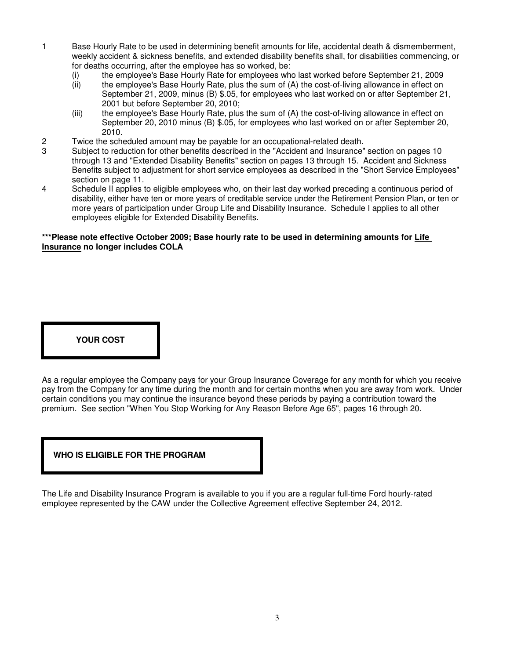- 1 Base Hourly Rate to be used in determining benefit amounts for life, accidental death & dismemberment, weekly accident & sickness benefits, and extended disability benefits shall, for disabilities commencing, or for deaths occurring, after the employee has so worked, be:
	- (i) the employee's Base Hourly Rate for employees who last worked before September 21, 2009<br>(ii) the employee's Base Hourly Rate, plus the sum of (A) the cost-of-living allowance in effect on
	- the employee's Base Hourly Rate, plus the sum of (A) the cost-of-living allowance in effect on September 21, 2009, minus (B) \$.05, for employees who last worked on or after September 21, 2001 but before September 20, 2010;
	- (iii) the employee's Base Hourly Rate, plus the sum of (A) the cost-of-living allowance in effect on September 20, 2010 minus (B) \$.05, for employees who last worked on or after September 20, 2010.
- 2 Twice the scheduled amount may be payable for an occupational-related death.
- 3 Subject to reduction for other benefits described in the "Accident and Insurance" section on pages 10 through 13 and "Extended Disability Benefits" section on pages 13 through 15. Accident and Sickness Benefits subject to adjustment for short service employees as described in the "Short Service Employees" section on page 11.
- 4 Schedule II applies to eligible employees who, on their last day worked preceding a continuous period of disability, either have ten or more years of creditable service under the Retirement Pension Plan, or ten or more years of participation under Group Life and Disability Insurance. Schedule I applies to all other employees eligible for Extended Disability Benefits.

#### **\*\*\*Please note effective October 2009; Base hourly rate to be used in determining amounts for Life Insurance no longer includes COLA**

# **YOUR COST**

As a regular employee the Company pays for your Group Insurance Coverage for any month for which you receive pay from the Company for any time during the month and for certain months when you are away from work. Under certain conditions you may continue the insurance beyond these periods by paying a contribution toward the premium. See section "When You Stop Working for Any Reason Before Age 65", pages 16 through 20.

# **WHO IS ELIGIBLE FOR THE PROGRAM**

The Life and Disability Insurance Program is available to you if you are a regular full-time Ford hourly-rated employee represented by the CAW under the Collective Agreement effective September 24, 2012.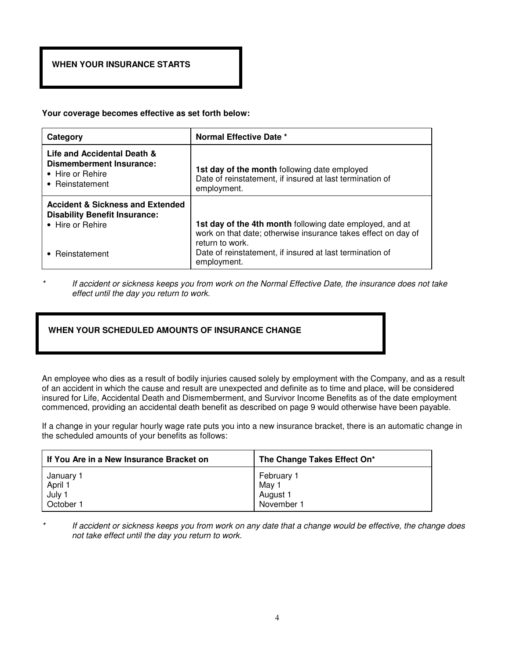# **WHEN YOUR INSURANCE STARTS**

**Your coverage becomes effective as set forth below:**

| Category                                                                                                | Normal Effective Date *                                                                                                   |
|---------------------------------------------------------------------------------------------------------|---------------------------------------------------------------------------------------------------------------------------|
| Life and Accidental Death &<br>Dismemberment Insurance:<br>• Hire or Rehire<br>• Reinstatement          | 1st day of the month following date employed<br>Date of reinstatement, if insured at last termination of<br>employment.   |
| <b>Accident &amp; Sickness and Extended</b><br><b>Disability Benefit Insurance:</b><br>• Hire or Rehire | 1st day of the 4th month following date employed, and at<br>work on that date; otherwise insurance takes effect on day of |
| • Reinstatement                                                                                         | return to work.<br>Date of reinstatement, if insured at last termination of<br>employment.                                |

If accident or sickness keeps you from work on the Normal Effective Date, the insurance does not take effect until the day you return to work.

# **WHEN YOUR SCHEDULED AMOUNTS OF INSURANCE CHANGE**

An employee who dies as a result of bodily injuries caused solely by employment with the Company, and as a result of an accident in which the cause and result are unexpected and definite as to time and place, will be considered insured for Life, Accidental Death and Dismemberment, and Survivor Income Benefits as of the date employment commenced, providing an accidental death benefit as described on page 9 would otherwise have been payable.

If a change in your regular hourly wage rate puts you into a new insurance bracket, there is an automatic change in the scheduled amounts of your benefits as follows:

| If You Are in a New Insurance Bracket on | The Change Takes Effect On* |
|------------------------------------------|-----------------------------|
| January 1                                | February 1                  |
| April 1                                  | May 1                       |
| July 1                                   | August 1                    |
| October 1                                | November 1                  |

If accident or sickness keeps you from work on any date that a change would be effective, the change does not take effect until the day you return to work.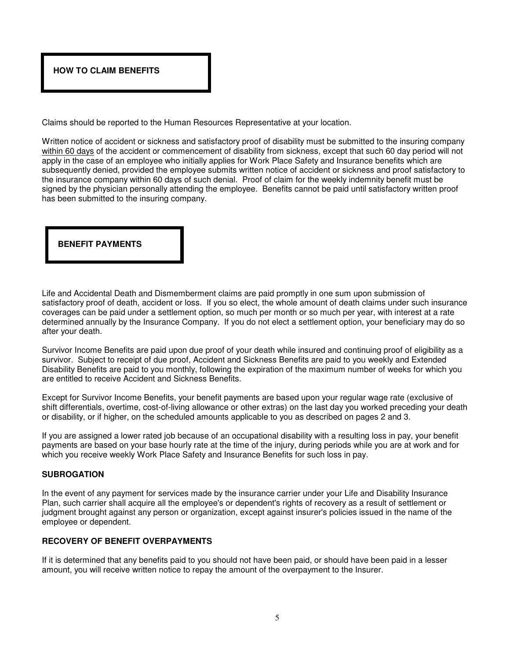

Claims should be reported to the Human Resources Representative at your location.

Written notice of accident or sickness and satisfactory proof of disability must be submitted to the insuring company within 60 days of the accident or commencement of disability from sickness, except that such 60 day period will not apply in the case of an employee who initially applies for Work Place Safety and Insurance benefits which are subsequently denied, provided the employee submits written notice of accident or sickness and proof satisfactory to the insurance company within 60 days of such denial. Proof of claim for the weekly indemnity benefit must be signed by the physician personally attending the employee. Benefits cannot be paid until satisfactory written proof has been submitted to the insuring company.

# **BENEFIT PAYMENTS**

Life and Accidental Death and Dismemberment claims are paid promptly in one sum upon submission of satisfactory proof of death, accident or loss. If you so elect, the whole amount of death claims under such insurance coverages can be paid under a settlement option, so much per month or so much per year, with interest at a rate determined annually by the Insurance Company. If you do not elect a settlement option, your beneficiary may do so after your death.

Survivor Income Benefits are paid upon due proof of your death while insured and continuing proof of eligibility as a survivor. Subject to receipt of due proof, Accident and Sickness Benefits are paid to you weekly and Extended Disability Benefits are paid to you monthly, following the expiration of the maximum number of weeks for which you are entitled to receive Accident and Sickness Benefits.

Except for Survivor Income Benefits, your benefit payments are based upon your regular wage rate (exclusive of shift differentials, overtime, cost-of-living allowance or other extras) on the last day you worked preceding your death or disability, or if higher, on the scheduled amounts applicable to you as described on pages 2 and 3.

If you are assigned a lower rated job because of an occupational disability with a resulting loss in pay, your benefit payments are based on your base hourly rate at the time of the injury, during periods while you are at work and for which you receive weekly Work Place Safety and Insurance Benefits for such loss in pay.

# **SUBROGATION**

In the event of any payment for services made by the insurance carrier under your Life and Disability Insurance Plan, such carrier shall acquire all the employee's or dependent's rights of recovery as a result of settlement or judgment brought against any person or organization, except against insurer's policies issued in the name of the employee or dependent.

# **RECOVERY OF BENEFIT OVERPAYMENTS**

If it is determined that any benefits paid to you should not have been paid, or should have been paid in a lesser amount, you will receive written notice to repay the amount of the overpayment to the Insurer.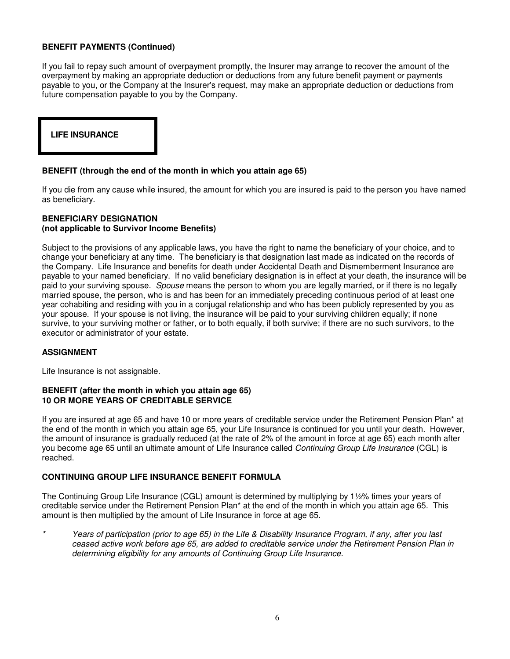# **BENEFIT PAYMENTS (Continued)**

If you fail to repay such amount of overpayment promptly, the Insurer may arrange to recover the amount of the overpayment by making an appropriate deduction or deductions from any future benefit payment or payments payable to you, or the Company at the Insurer's request, may make an appropriate deduction or deductions from future compensation payable to you by the Company.

# **LIFE INSURANCE**

#### **BENEFIT (through the end of the month in which you attain age 65)**

If you die from any cause while insured, the amount for which you are insured is paid to the person you have named as beneficiary.

#### **BENEFICIARY DESIGNATION (not applicable to Survivor Income Benefits)**

Subject to the provisions of any applicable laws, you have the right to name the beneficiary of your choice, and to change your beneficiary at any time. The beneficiary is that designation last made as indicated on the records of the Company. Life Insurance and benefits for death under Accidental Death and Dismemberment Insurance are payable to your named beneficiary. If no valid beneficiary designation is in effect at your death, the insurance will be paid to your surviving spouse. Spouse means the person to whom you are legally married, or if there is no legally married spouse, the person, who is and has been for an immediately preceding continuous period of at least one year cohabiting and residing with you in a conjugal relationship and who has been publicly represented by you as your spouse. If your spouse is not living, the insurance will be paid to your surviving children equally; if none survive, to your surviving mother or father, or to both equally, if both survive; if there are no such survivors, to the executor or administrator of your estate.

# **ASSIGNMENT**

Life Insurance is not assignable.

#### **BENEFIT (after the month in which you attain age 65) 10 OR MORE YEARS OF CREDITABLE SERVICE**

If you are insured at age 65 and have 10 or more years of creditable service under the Retirement Pension Plan\* at the end of the month in which you attain age 65, your Life Insurance is continued for you until your death. However, the amount of insurance is gradually reduced (at the rate of 2% of the amount in force at age 65) each month after you become age 65 until an ultimate amount of Life Insurance called Continuing Group Life Insurance (CGL) is reached.

# **CONTINUING GROUP LIFE INSURANCE BENEFIT FORMULA**

The Continuing Group Life Insurance (CGL) amount is determined by multiplying by 1½% times your years of creditable service under the Retirement Pension Plan\* at the end of the month in which you attain age 65. This amount is then multiplied by the amount of Life Insurance in force at age 65.

\* Years of participation (prior to age 65) in the Life & Disability Insurance Program, if any, after you last ceased active work before age 65, are added to creditable service under the Retirement Pension Plan in determining eligibility for any amounts of Continuing Group Life Insurance.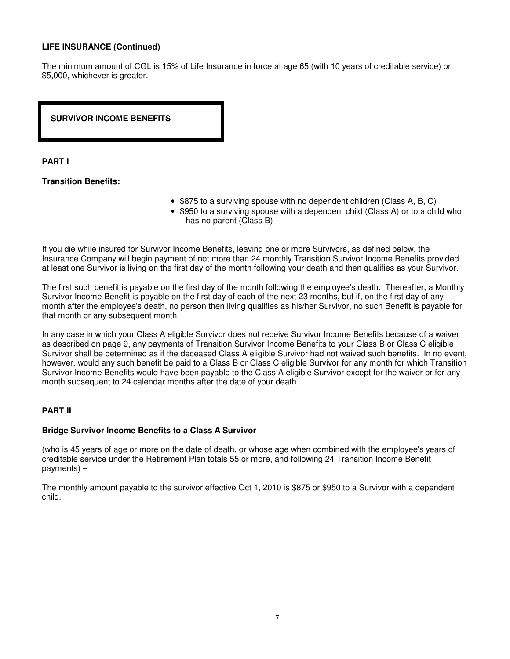#### **LIFE INSURANCE (Continued)**

The minimum amount of CGL is 15% of Life Insurance in force at age 65 (with 10 years of creditable service) or \$5,000, whichever is greater.

**SURVIVOR INCOME BENEFITS** 

#### **PART I**

#### **Transition Benefits:**

- \$875 to a surviving spouse with no dependent children (Class A, B, C)
- \$950 to a surviving spouse with a dependent child (Class A) or to a child who has no parent (Class B)

If you die while insured for Survivor Income Benefits, leaving one or more Survivors, as defined below, the Insurance Company will begin payment of not more than 24 monthly Transition Survivor Income Benefits provided at least one Survivor is living on the first day of the month following your death and then qualifies as your Survivor.

The first such benefit is payable on the first day of the month following the employee's death. Thereafter, a Monthly Survivor Income Benefit is payable on the first day of each of the next 23 months, but if, on the first day of any month after the employee's death, no person then living qualifies as his/her Survivor, no such Benefit is payable for that month or any subsequent month.

In any case in which your Class A eligible Survivor does not receive Survivor Income Benefits because of a waiver as described on page 9, any payments of Transition Survivor Income Benefits to your Class B or Class C eligible Survivor shall be determined as if the deceased Class A eligible Survivor had not waived such benefits. In no event, however, would any such benefit be paid to a Class B or Class C eligible Survivor for any month for which Transition Survivor Income Benefits would have been payable to the Class A eligible Survivor except for the waiver or for any month subsequent to 24 calendar months after the date of your death.

#### **PART II**

#### **Bridge Survivor Income Benefits to a Class A Survivor**

(who is 45 years of age or more on the date of death, or whose age when combined with the employee's years of creditable service under the Retirement Plan totals 55 or more, and following 24 Transition Income Benefit payments) –

The monthly amount payable to the survivor effective Oct 1, 2010 is \$875 or \$950 to a Survivor with a dependent child.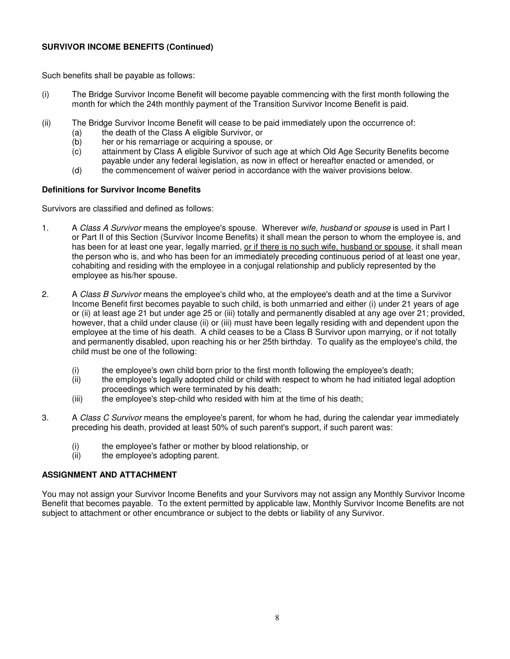# **SURVIVOR INCOME BENEFITS (Continued)**

Such benefits shall be payable as follows:

- (i) The Bridge Survivor Income Benefit will become payable commencing with the first month following the month for which the 24th monthly payment of the Transition Survivor Income Benefit is paid.
- (ii) The Bridge Survivor Income Benefit will cease to be paid immediately upon the occurrence of:
	- (a) the death of the Class A eligible Survivor, or
	-
	- (b) her or his remarriage or acquiring a spouse, or (c) attainment by Class A eligible Survivor of such attainment by Class A eligible Survivor of such age at which Old Age Security Benefits become payable under any federal legislation, as now in effect or hereafter enacted or amended, or
	- (d) the commencement of waiver period in accordance with the waiver provisions below.

#### **Definitions for Survivor Income Benefits**

Survivors are classified and defined as follows:

- 1. A Class A Survivor means the employee's spouse. Wherever wife, husband or spouse is used in Part I or Part II of this Section (Survivor Income Benefits) it shall mean the person to whom the employee is, and has been for at least one year, legally married, or if there is no such wife, husband or spouse, it shall mean the person who is, and who has been for an immediately preceding continuous period of at least one year, cohabiting and residing with the employee in a conjugal relationship and publicly represented by the employee as his/her spouse.
- 2. A Class B Survivor means the employee's child who, at the employee's death and at the time a Survivor Income Benefit first becomes payable to such child, is both unmarried and either (i) under 21 years of age or (ii) at least age 21 but under age 25 or (iii) totally and permanently disabled at any age over 21; provided, however, that a child under clause (ii) or (iii) must have been legally residing with and dependent upon the employee at the time of his death. A child ceases to be a Class B Survivor upon marrying, or if not totally and permanently disabled, upon reaching his or her 25th birthday. To qualify as the employee's child, the child must be one of the following:
	- (i) the employee's own child born prior to the first month following the employee's death;
	- (ii) the employee's legally adopted child or child with respect to whom he had initiated legal adoption proceedings which were terminated by his death;
	- (iii) the employee's step-child who resided with him at the time of his death;
- 3. A Class C Survivor means the employee's parent, for whom he had, during the calendar year immediately preceding his death, provided at least 50% of such parent's support, if such parent was:
	- (i) the employee's father or mother by blood relationship, or
	- (ii) the employee's adopting parent.

# **ASSIGNMENT AND ATTACHMENT**

You may not assign your Survivor Income Benefits and your Survivors may not assign any Monthly Survivor Income Benefit that becomes payable. To the extent permitted by applicable law, Monthly Survivor Income Benefits are not subject to attachment or other encumbrance or subject to the debts or liability of any Survivor.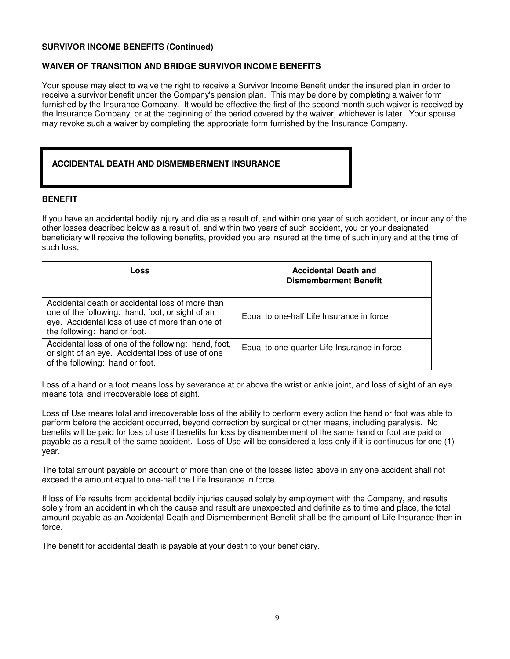#### **SURVIVOR INCOME BENEFITS (Continued)**

# **WAIVER OF TRANSITION AND BRIDGE SURVIVOR INCOME BENEFITS**

Your spouse may elect to waive the right to receive a Survivor Income Benefit under the insured plan in order to receive a survivor benefit under the Company's pension plan. This may be done by completing a waiver form furnished by the Insurance Company. It would be effective the first of the second month such waiver is received by the Insurance Company, or at the beginning of the period covered by the waiver, whichever is later. Your spouse may revoke such a waiver by completing the appropriate form furnished by the Insurance Company.

# **ACCIDENTAL DEATH AND DISMEMBERMENT INSURANCE**

#### **BENEFIT**

If you have an accidental bodily injury and die as a result of, and within one year of such accident, or incur any of the other losses described below as a result of, and within two years of such accident, you or your designated beneficiary will receive the following benefits, provided you are insured at the time of such injury and at the time of such loss:

| Loss                                                                                                                                                                                    | <b>Accidental Death and</b><br><b>Dismemberment Benefit</b> |
|-----------------------------------------------------------------------------------------------------------------------------------------------------------------------------------------|-------------------------------------------------------------|
| Accidental death or accidental loss of more than<br>one of the following: hand, foot, or sight of an<br>eye. Accidental loss of use of more than one of<br>the following: hand or foot. | Equal to one-half Life Insurance in force                   |
| Accidental loss of one of the following: hand, foot,<br>or sight of an eye. Accidental loss of use of one<br>of the following: hand or foot.                                            | Equal to one-quarter Life Insurance in force                |

Loss of a hand or a foot means loss by severance at or above the wrist or ankle joint, and loss of sight of an eye means total and irrecoverable loss of sight.

Loss of Use means total and irrecoverable loss of the ability to perform every action the hand or foot was able to perform before the accident occurred, beyond correction by surgical or other means, including paralysis. No benefits will be paid for loss of use if benefits for loss by dismemberment of the same hand or foot are paid or payable as a result of the same accident. Loss of Use will be considered a loss only if it is continuous for one (1) year.

The total amount payable on account of more than one of the losses listed above in any one accident shall not exceed the amount equal to one-half the Life Insurance in force.

If loss of life results from accidental bodily injuries caused solely by employment with the Company, and results solely from an accident in which the cause and result are unexpected and definite as to time and place, the total amount payable as an Accidental Death and Dismemberment Benefit shall be the amount of Life Insurance then in force.

The benefit for accidental death is payable at your death to your beneficiary.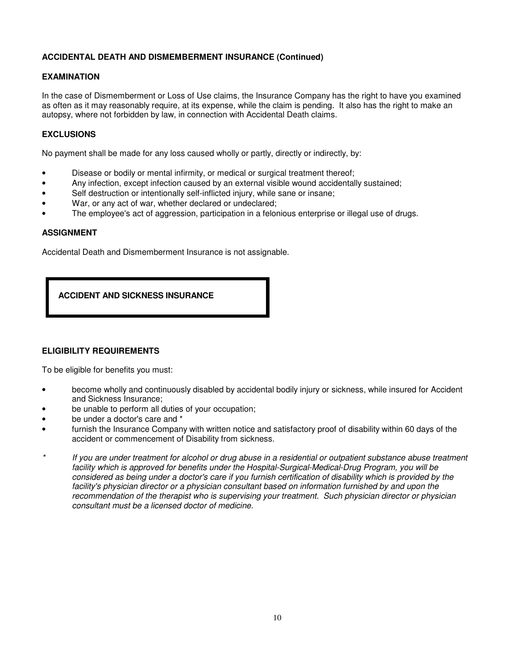# **ACCIDENTAL DEATH AND DISMEMBERMENT INSURANCE (Continued)**

# **EXAMINATION**

In the case of Dismemberment or Loss of Use claims, the Insurance Company has the right to have you examined as often as it may reasonably require, at its expense, while the claim is pending. It also has the right to make an autopsy, where not forbidden by law, in connection with Accidental Death claims.

# **EXCLUSIONS**

No payment shall be made for any loss caused wholly or partly, directly or indirectly, by:

- Disease or bodily or mental infirmity, or medical or surgical treatment thereof;
- Any infection, except infection caused by an external visible wound accidentally sustained;
- Self destruction or intentionally self-inflicted injury, while sane or insane;
- War, or any act of war, whether declared or undeclared;
- The employee's act of aggression, participation in a felonious enterprise or illegal use of drugs.

#### **ASSIGNMENT**

Accidental Death and Dismemberment Insurance is not assignable.



# **ELIGIBILITY REQUIREMENTS**

To be eligible for benefits you must:

- become wholly and continuously disabled by accidental bodily injury or sickness, while insured for Accident and Sickness Insurance;
- be unable to perform all duties of your occupation;
- be under a doctor's care and \*
- furnish the Insurance Company with written notice and satisfactory proof of disability within 60 days of the accident or commencement of Disability from sickness.
- If you are under treatment for alcohol or drug abuse in a residential or outpatient substance abuse treatment facility which is approved for benefits under the Hospital-Surgical-Medical-Drug Program, you will be considered as being under a doctor's care if you furnish certification of disability which is provided by the facility's physician director or a physician consultant based on information furnished by and upon the recommendation of the therapist who is supervising your treatment. Such physician director or physician consultant must be a licensed doctor of medicine.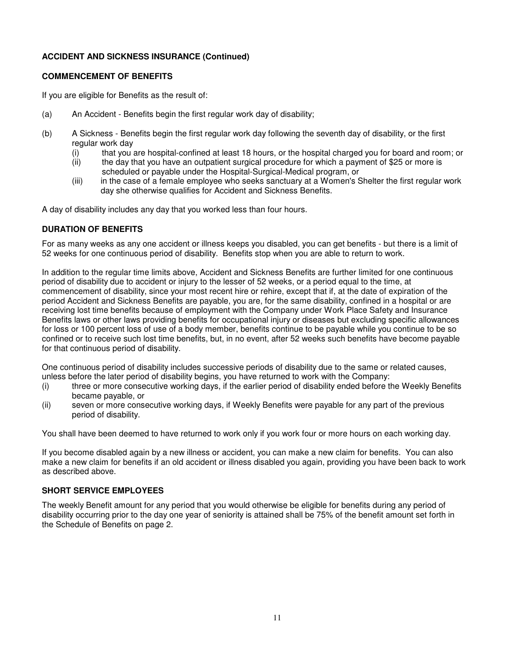# **ACCIDENT AND SICKNESS INSURANCE (Continued)**

#### **COMMENCEMENT OF BENEFITS**

If you are eligible for Benefits as the result of:

- (a) An Accident Benefits begin the first regular work day of disability;
- (b) A Sickness Benefits begin the first regular work day following the seventh day of disability, or the first regular work day
	- (i) that you are hospital-confined at least 18 hours, or the hospital charged you for board and room; or  $(i)$  the day that you have an outpatient surgical procedure for which a payment of \$25 or more is
	- the day that you have an outpatient surgical procedure for which a payment of \$25 or more is scheduled or payable under the Hospital-Surgical-Medical program, or
	- (iii) in the case of a female employee who seeks sanctuary at a Women's Shelter the first regular work day she otherwise qualifies for Accident and Sickness Benefits.

A day of disability includes any day that you worked less than four hours.

#### **DURATION OF BENEFITS**

For as many weeks as any one accident or illness keeps you disabled, you can get benefits - but there is a limit of 52 weeks for one continuous period of disability. Benefits stop when you are able to return to work.

In addition to the regular time limits above, Accident and Sickness Benefits are further limited for one continuous period of disability due to accident or injury to the lesser of 52 weeks, or a period equal to the time, at commencement of disability, since your most recent hire or rehire, except that if, at the date of expiration of the period Accident and Sickness Benefits are payable, you are, for the same disability, confined in a hospital or are receiving lost time benefits because of employment with the Company under Work Place Safety and Insurance Benefits laws or other laws providing benefits for occupational injury or diseases but excluding specific allowances for loss or 100 percent loss of use of a body member, benefits continue to be payable while you continue to be so confined or to receive such lost time benefits, but, in no event, after 52 weeks such benefits have become payable for that continuous period of disability.

One continuous period of disability includes successive periods of disability due to the same or related causes, unless before the later period of disability begins, you have returned to work with the Company:

- (i) three or more consecutive working days, if the earlier period of disability ended before the Weekly Benefits became payable, or
- (ii) seven or more consecutive working days, if Weekly Benefits were payable for any part of the previous period of disability.

You shall have been deemed to have returned to work only if you work four or more hours on each working day.

If you become disabled again by a new illness or accident, you can make a new claim for benefits. You can also make a new claim for benefits if an old accident or illness disabled you again, providing you have been back to work as described above.

#### **SHORT SERVICE EMPLOYEES**

The weekly Benefit amount for any period that you would otherwise be eligible for benefits during any period of disability occurring prior to the day one year of seniority is attained shall be 75% of the benefit amount set forth in the Schedule of Benefits on page 2.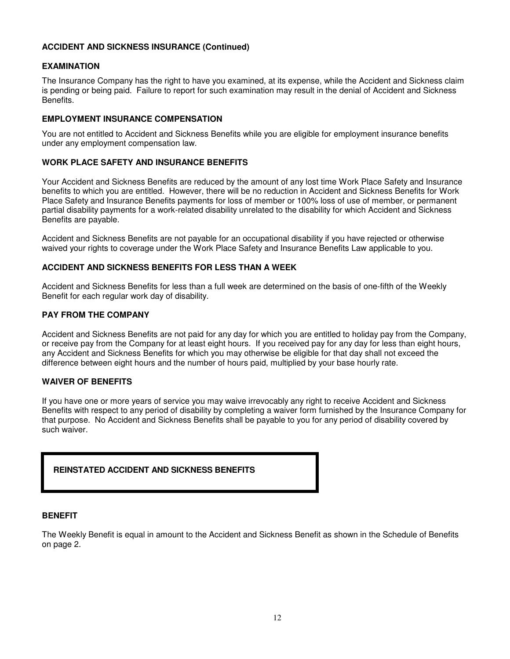#### **ACCIDENT AND SICKNESS INSURANCE (Continued)**

#### **EXAMINATION**

The Insurance Company has the right to have you examined, at its expense, while the Accident and Sickness claim is pending or being paid. Failure to report for such examination may result in the denial of Accident and Sickness Benefits.

#### **EMPLOYMENT INSURANCE COMPENSATION**

You are not entitled to Accident and Sickness Benefits while you are eligible for employment insurance benefits under any employment compensation law.

#### **WORK PLACE SAFETY AND INSURANCE BENEFITS**

Your Accident and Sickness Benefits are reduced by the amount of any lost time Work Place Safety and Insurance benefits to which you are entitled. However, there will be no reduction in Accident and Sickness Benefits for Work Place Safety and Insurance Benefits payments for loss of member or 100% loss of use of member, or permanent partial disability payments for a work-related disability unrelated to the disability for which Accident and Sickness Benefits are payable.

Accident and Sickness Benefits are not payable for an occupational disability if you have rejected or otherwise waived your rights to coverage under the Work Place Safety and Insurance Benefits Law applicable to you.

#### **ACCIDENT AND SICKNESS BENEFITS FOR LESS THAN A WEEK**

Accident and Sickness Benefits for less than a full week are determined on the basis of one-fifth of the Weekly Benefit for each regular work day of disability.

#### **PAY FROM THE COMPANY**

Accident and Sickness Benefits are not paid for any day for which you are entitled to holiday pay from the Company, or receive pay from the Company for at least eight hours. If you received pay for any day for less than eight hours, any Accident and Sickness Benefits for which you may otherwise be eligible for that day shall not exceed the difference between eight hours and the number of hours paid, multiplied by your base hourly rate.

#### **WAIVER OF BENEFITS**

If you have one or more years of service you may waive irrevocably any right to receive Accident and Sickness Benefits with respect to any period of disability by completing a waiver form furnished by the Insurance Company for that purpose. No Accident and Sickness Benefits shall be payable to you for any period of disability covered by such waiver.

# **REINSTATED ACCIDENT AND SICKNESS BENEFITS**

#### **BENEFIT**

The Weekly Benefit is equal in amount to the Accident and Sickness Benefit as shown in the Schedule of Benefits on page 2.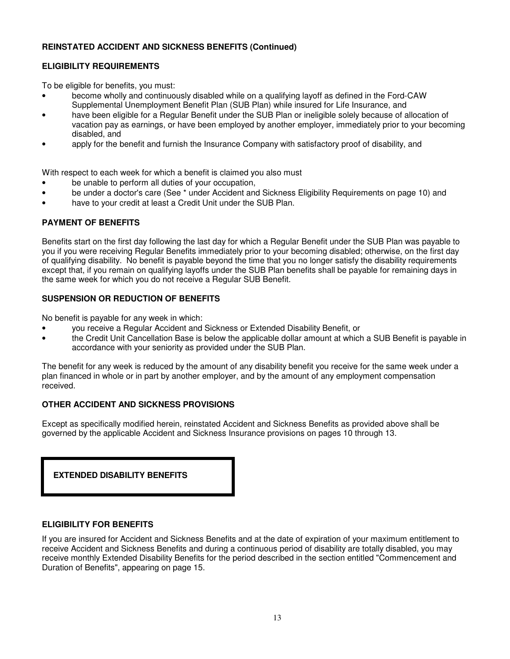# **REINSTATED ACCIDENT AND SICKNESS BENEFITS (Continued)**

# **ELIGIBILITY REQUIREMENTS**

To be eligible for benefits, you must:

- become wholly and continuously disabled while on a qualifying layoff as defined in the Ford-CAW Supplemental Unemployment Benefit Plan (SUB Plan) while insured for Life Insurance, and
- have been eligible for a Regular Benefit under the SUB Plan or ineligible solely because of allocation of vacation pay as earnings, or have been employed by another employer, immediately prior to your becoming disabled, and
- apply for the benefit and furnish the Insurance Company with satisfactory proof of disability, and

With respect to each week for which a benefit is claimed you also must

- be unable to perform all duties of your occupation,
- be under a doctor's care (See \* under Accident and Sickness Eligibility Requirements on page 10) and
- have to your credit at least a Credit Unit under the SUB Plan.

# **PAYMENT OF BENEFITS**

Benefits start on the first day following the last day for which a Regular Benefit under the SUB Plan was payable to you if you were receiving Regular Benefits immediately prior to your becoming disabled; otherwise, on the first day of qualifying disability. No benefit is payable beyond the time that you no longer satisfy the disability requirements except that, if you remain on qualifying layoffs under the SUB Plan benefits shall be payable for remaining days in the same week for which you do not receive a Regular SUB Benefit.

# **SUSPENSION OR REDUCTION OF BENEFITS**

No benefit is payable for any week in which:

- you receive a Regular Accident and Sickness or Extended Disability Benefit, or
- the Credit Unit Cancellation Base is below the applicable dollar amount at which a SUB Benefit is payable in accordance with your seniority as provided under the SUB Plan.

The benefit for any week is reduced by the amount of any disability benefit you receive for the same week under a plan financed in whole or in part by another employer, and by the amount of any employment compensation received.

# **OTHER ACCIDENT AND SICKNESS PROVISIONS**

Except as specifically modified herein, reinstated Accident and Sickness Benefits as provided above shall be governed by the applicable Accident and Sickness Insurance provisions on pages 10 through 13.

| <b>EXTENDED DISABILITY BENEFITS</b> |
|-------------------------------------|
|-------------------------------------|

# **ELIGIBILITY FOR BENEFITS**

If you are insured for Accident and Sickness Benefits and at the date of expiration of your maximum entitlement to receive Accident and Sickness Benefits and during a continuous period of disability are totally disabled, you may receive monthly Extended Disability Benefits for the period described in the section entitled "Commencement and Duration of Benefits", appearing on page 15.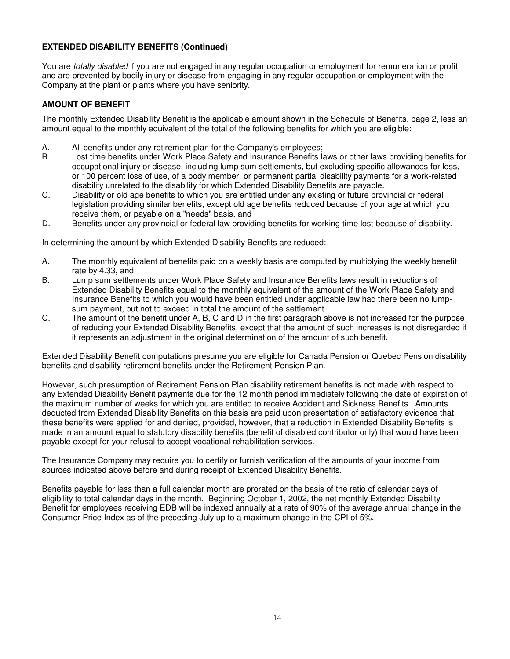# **EXTENDED DISABILITY BENEFITS (Continued)**

You are totally disabled if you are not engaged in any regular occupation or employment for remuneration or profit and are prevented by bodily injury or disease from engaging in any regular occupation or employment with the Company at the plant or plants where you have seniority.

# **AMOUNT OF BENEFIT**

The monthly Extended Disability Benefit is the applicable amount shown in the Schedule of Benefits, page 2, less an amount equal to the monthly equivalent of the total of the following benefits for which you are eligible:

- A. All benefits under any retirement plan for the Company's employees;
- B. Lost time benefits under Work Place Safety and Insurance Benefits laws or other laws providing benefits for occupational injury or disease, including lump sum settlements, but excluding specific allowances for loss, or 100 percent loss of use, of a body member, or permanent partial disability payments for a work-related disability unrelated to the disability for which Extended Disability Benefits are payable.
- C. Disability or old age benefits to which you are entitled under any existing or future provincial or federal legislation providing similar benefits, except old age benefits reduced because of your age at which you receive them, or payable on a "needs" basis, and
- D. Benefits under any provincial or federal law providing benefits for working time lost because of disability.

In determining the amount by which Extended Disability Benefits are reduced:

- A. The monthly equivalent of benefits paid on a weekly basis are computed by multiplying the weekly benefit rate by 4.33, and
- B. Lump sum settlements under Work Place Safety and Insurance Benefits laws result in reductions of Extended Disability Benefits equal to the monthly equivalent of the amount of the Work Place Safety and Insurance Benefits to which you would have been entitled under applicable law had there been no lumpsum payment, but not to exceed in total the amount of the settlement.
- C. The amount of the benefit under A, B, C and D in the first paragraph above is not increased for the purpose of reducing your Extended Disability Benefits, except that the amount of such increases is not disregarded if it represents an adjustment in the original determination of the amount of such benefit.

Extended Disability Benefit computations presume you are eligible for Canada Pension or Quebec Pension disability benefits and disability retirement benefits under the Retirement Pension Plan.

However, such presumption of Retirement Pension Plan disability retirement benefits is not made with respect to any Extended Disability Benefit payments due for the 12 month period immediately following the date of expiration of the maximum number of weeks for which you are entitled to receive Accident and Sickness Benefits. Amounts deducted from Extended Disability Benefits on this basis are paid upon presentation of satisfactory evidence that these benefits were applied for and denied, provided, however, that a reduction in Extended Disability Benefits is made in an amount equal to statutory disability benefits (benefit of disabled contributor only) that would have been payable except for your refusal to accept vocational rehabilitation services.

The Insurance Company may require you to certify or furnish verification of the amounts of your income from sources indicated above before and during receipt of Extended Disability Benefits.

Benefits payable for less than a full calendar month are prorated on the basis of the ratio of calendar days of eligibility to total calendar days in the month. Beginning October 1, 2002, the net monthly Extended Disability Benefit for employees receiving EDB will be indexed annually at a rate of 90% of the average annual change in the Consumer Price Index as of the preceding July up to a maximum change in the CPI of 5%.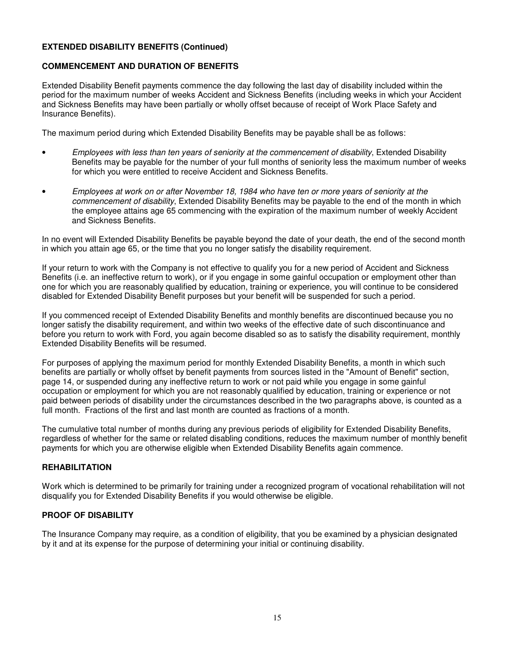# **EXTENDED DISABILITY BENEFITS (Continued)**

# **COMMENCEMENT AND DURATION OF BENEFITS**

Extended Disability Benefit payments commence the day following the last day of disability included within the period for the maximum number of weeks Accident and Sickness Benefits (including weeks in which your Accident and Sickness Benefits may have been partially or wholly offset because of receipt of Work Place Safety and Insurance Benefits).

The maximum period during which Extended Disability Benefits may be payable shall be as follows:

- Employees with less than ten years of seniority at the commencement of disability, Extended Disability Benefits may be payable for the number of your full months of seniority less the maximum number of weeks for which you were entitled to receive Accident and Sickness Benefits.
- Employees at work on or after November 18, 1984 who have ten or more years of seniority at the commencement of disability, Extended Disability Benefits may be payable to the end of the month in which the employee attains age 65 commencing with the expiration of the maximum number of weekly Accident and Sickness Benefits.

In no event will Extended Disability Benefits be payable beyond the date of your death, the end of the second month in which you attain age 65, or the time that you no longer satisfy the disability requirement.

If your return to work with the Company is not effective to qualify you for a new period of Accident and Sickness Benefits (i.e. an ineffective return to work), or if you engage in some gainful occupation or employment other than one for which you are reasonably qualified by education, training or experience, you will continue to be considered disabled for Extended Disability Benefit purposes but your benefit will be suspended for such a period.

If you commenced receipt of Extended Disability Benefits and monthly benefits are discontinued because you no longer satisfy the disability requirement, and within two weeks of the effective date of such discontinuance and before you return to work with Ford, you again become disabled so as to satisfy the disability requirement, monthly Extended Disability Benefits will be resumed.

For purposes of applying the maximum period for monthly Extended Disability Benefits, a month in which such benefits are partially or wholly offset by benefit payments from sources listed in the "Amount of Benefit" section, page 14, or suspended during any ineffective return to work or not paid while you engage in some gainful occupation or employment for which you are not reasonably qualified by education, training or experience or not paid between periods of disability under the circumstances described in the two paragraphs above, is counted as a full month. Fractions of the first and last month are counted as fractions of a month.

The cumulative total number of months during any previous periods of eligibility for Extended Disability Benefits, regardless of whether for the same or related disabling conditions, reduces the maximum number of monthly benefit payments for which you are otherwise eligible when Extended Disability Benefits again commence.

# **REHABILITATION**

Work which is determined to be primarily for training under a recognized program of vocational rehabilitation will not disqualify you for Extended Disability Benefits if you would otherwise be eligible.

# **PROOF OF DISABILITY**

The Insurance Company may require, as a condition of eligibility, that you be examined by a physician designated by it and at its expense for the purpose of determining your initial or continuing disability.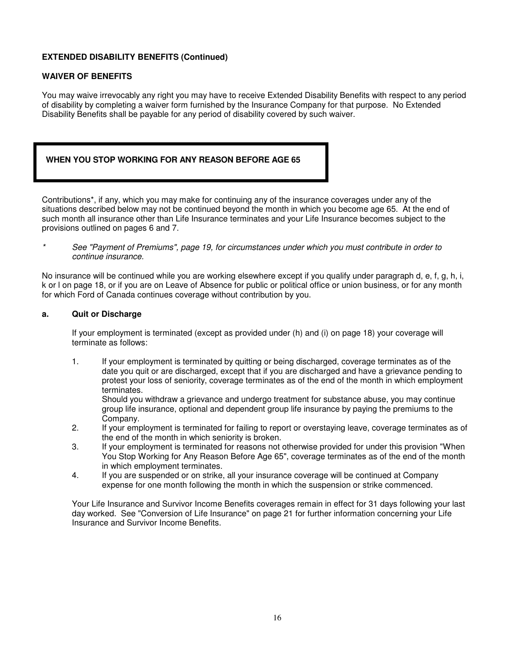# **EXTENDED DISABILITY BENEFITS (Continued)**

# **WAIVER OF BENEFITS**

You may waive irrevocably any right you may have to receive Extended Disability Benefits with respect to any period of disability by completing a waiver form furnished by the Insurance Company for that purpose. No Extended Disability Benefits shall be payable for any period of disability covered by such waiver.

# **WHEN YOU STOP WORKING FOR ANY REASON BEFORE AGE 65**

Contributions\*, if any, which you may make for continuing any of the insurance coverages under any of the situations described below may not be continued beyond the month in which you become age 65. At the end of such month all insurance other than Life Insurance terminates and your Life Insurance becomes subject to the provisions outlined on pages 6 and 7.

See "Payment of Premiums", page 19, for circumstances under which you must contribute in order to continue insurance.

No insurance will be continued while you are working elsewhere except if you qualify under paragraph d, e, f, g, h, i, k or l on page 18, or if you are on Leave of Absence for public or political office or union business, or for any month for which Ford of Canada continues coverage without contribution by you.

#### **a. Quit or Discharge**

 If your employment is terminated (except as provided under (h) and (i) on page 18) your coverage will terminate as follows:

 1. If your employment is terminated by quitting or being discharged, coverage terminates as of the date you quit or are discharged, except that if you are discharged and have a grievance pending to protest your loss of seniority, coverage terminates as of the end of the month in which employment terminates.

 Should you withdraw a grievance and undergo treatment for substance abuse, you may continue group life insurance, optional and dependent group life insurance by paying the premiums to the Company.

- 2. If your employment is terminated for failing to report or overstaying leave, coverage terminates as of the end of the month in which seniority is broken.
- 3. If your employment is terminated for reasons not otherwise provided for under this provision "When You Stop Working for Any Reason Before Age 65", coverage terminates as of the end of the month in which employment terminates.
- 4. If you are suspended or on strike, all your insurance coverage will be continued at Company expense for one month following the month in which the suspension or strike commenced.

Your Life Insurance and Survivor Income Benefits coverages remain in effect for 31 days following your last day worked. See "Conversion of Life Insurance" on page 21 for further information concerning your Life Insurance and Survivor Income Benefits.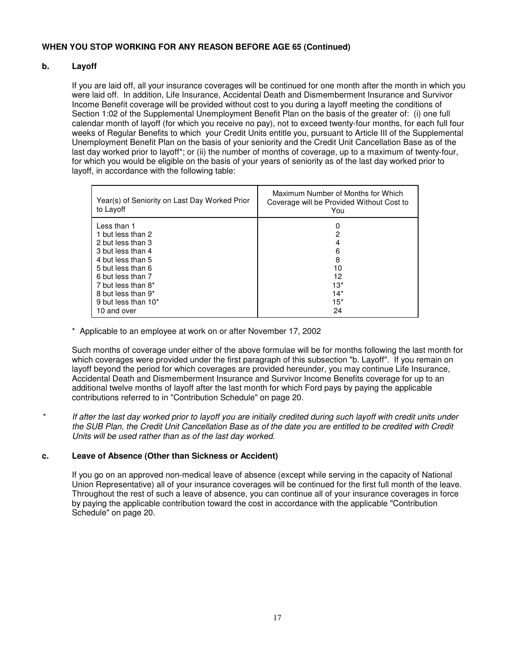# **b. Layoff**

 If you are laid off, all your insurance coverages will be continued for one month after the month in which you were laid off. In addition, Life Insurance, Accidental Death and Dismemberment Insurance and Survivor Income Benefit coverage will be provided without cost to you during a layoff meeting the conditions of Section 1:02 of the Supplemental Unemployment Benefit Plan on the basis of the greater of: (i) one full calendar month of layoff (for which you receive no pay), not to exceed twenty-four months, for each full four weeks of Regular Benefits to which your Credit Units entitle you, pursuant to Article III of the Supplemental Unemployment Benefit Plan on the basis of your seniority and the Credit Unit Cancellation Base as of the last day worked prior to layoff\*; or (ii) the number of months of coverage, up to a maximum of twenty-four, for which you would be eligible on the basis of your years of seniority as of the last day worked prior to layoff, in accordance with the following table:

| Year(s) of Seniority on Last Day Worked Prior<br>to Layoff | Maximum Number of Months for Which<br>Coverage will be Provided Without Cost to<br>You |
|------------------------------------------------------------|----------------------------------------------------------------------------------------|
| Less than 1                                                | 0                                                                                      |
| 1 but less than 2                                          | 2                                                                                      |
| 2 but less than 3                                          | 4                                                                                      |
| 3 but less than 4                                          | 6                                                                                      |
| 4 but less than 5                                          | 8                                                                                      |
| 5 but less than 6                                          | 10                                                                                     |
| 6 but less than 7                                          | 12                                                                                     |
| 7 but less than 8*                                         | $13*$                                                                                  |
| 8 but less than 9 <sup>*</sup>                             | $14*$                                                                                  |
| 9 but less than 10*                                        | $15*$                                                                                  |
| 10 and over                                                | 24                                                                                     |

\* Applicable to an employee at work on or after November 17, 2002

 Such months of coverage under either of the above formulae will be for months following the last month for which coverages were provided under the first paragraph of this subsection "b. Layoff". If you remain on layoff beyond the period for which coverages are provided hereunder, you may continue Life Insurance, Accidental Death and Dismemberment Insurance and Survivor Income Benefits coverage for up to an additional twelve months of layoff after the last month for which Ford pays by paying the applicable contributions referred to in "Contribution Schedule" on page 20.

If after the last day worked prior to layoff you are initially credited during such layoff with credit units under the SUB Plan, the Credit Unit Cancellation Base as of the date you are entitled to be credited with Credit Units will be used rather than as of the last day worked.

# **c. Leave of Absence (Other than Sickness or Accident)**

 If you go on an approved non-medical leave of absence (except while serving in the capacity of National Union Representative) all of your insurance coverages will be continued for the first full month of the leave. Throughout the rest of such a leave of absence, you can continue all of your insurance coverages in force by paying the applicable contribution toward the cost in accordance with the applicable "Contribution Schedule" on page 20.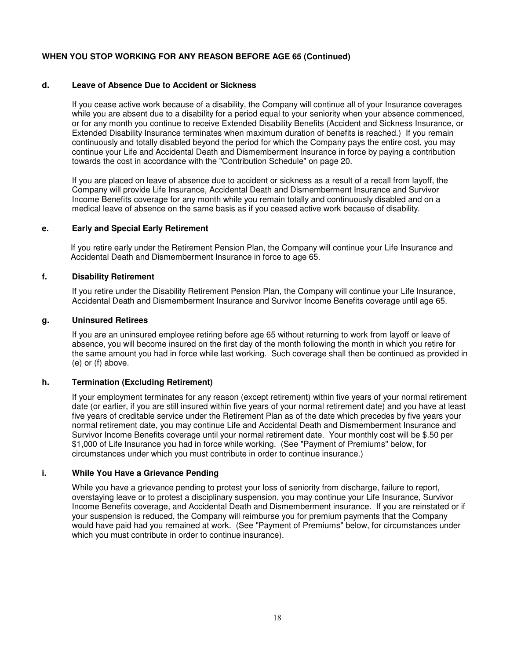#### **d. Leave of Absence Due to Accident or Sickness**

 If you cease active work because of a disability, the Company will continue all of your Insurance coverages while you are absent due to a disability for a period equal to your seniority when your absence commenced, or for any month you continue to receive Extended Disability Benefits (Accident and Sickness Insurance, or Extended Disability Insurance terminates when maximum duration of benefits is reached.) If you remain continuously and totally disabled beyond the period for which the Company pays the entire cost, you may continue your Life and Accidental Death and Dismemberment Insurance in force by paying a contribution towards the cost in accordance with the "Contribution Schedule" on page 20.

 If you are placed on leave of absence due to accident or sickness as a result of a recall from layoff, the Company will provide Life Insurance, Accidental Death and Dismemberment Insurance and Survivor Income Benefits coverage for any month while you remain totally and continuously disabled and on a medical leave of absence on the same basis as if you ceased active work because of disability.

#### **e. Early and Special Early Retirement**

 If you retire early under the Retirement Pension Plan, the Company will continue your Life Insurance and Accidental Death and Dismemberment Insurance in force to age 65.

#### **f. Disability Retirement**

 If you retire under the Disability Retirement Pension Plan, the Company will continue your Life Insurance, Accidental Death and Dismemberment Insurance and Survivor Income Benefits coverage until age 65.

#### **g. Uninsured Retirees**

 If you are an uninsured employee retiring before age 65 without returning to work from layoff or leave of absence, you will become insured on the first day of the month following the month in which you retire for the same amount you had in force while last working. Such coverage shall then be continued as provided in (e) or (f) above.

#### **h. Termination (Excluding Retirement)**

 If your employment terminates for any reason (except retirement) within five years of your normal retirement date (or earlier, if you are still insured within five years of your normal retirement date) and you have at least five years of creditable service under the Retirement Plan as of the date which precedes by five years your normal retirement date, you may continue Life and Accidental Death and Dismemberment Insurance and Survivor Income Benefits coverage until your normal retirement date. Your monthly cost will be \$.50 per \$1,000 of Life Insurance you had in force while working. (See "Payment of Premiums" below, for circumstances under which you must contribute in order to continue insurance.)

#### **i. While You Have a Grievance Pending**

While you have a grievance pending to protest your loss of seniority from discharge, failure to report, overstaying leave or to protest a disciplinary suspension, you may continue your Life Insurance, Survivor Income Benefits coverage, and Accidental Death and Dismemberment insurance. If you are reinstated or if your suspension is reduced, the Company will reimburse you for premium payments that the Company would have paid had you remained at work. (See "Payment of Premiums" below, for circumstances under which you must contribute in order to continue insurance).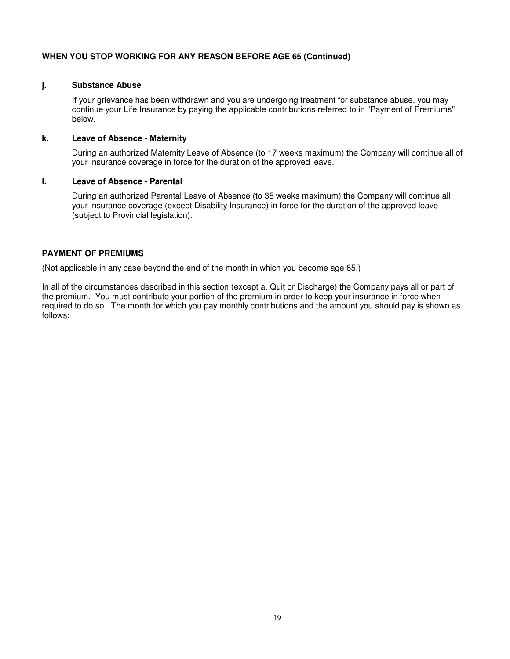#### **j. Substance Abuse**

 If your grievance has been withdrawn and you are undergoing treatment for substance abuse, you may continue your Life Insurance by paying the applicable contributions referred to in "Payment of Premiums" below.

#### **k. Leave of Absence - Maternity**

 During an authorized Maternity Leave of Absence (to 17 weeks maximum) the Company will continue all of your insurance coverage in force for the duration of the approved leave.

#### **l. Leave of Absence - Parental**

 During an authorized Parental Leave of Absence (to 35 weeks maximum) the Company will continue all your insurance coverage (except Disability Insurance) in force for the duration of the approved leave (subject to Provincial legislation).

#### **PAYMENT OF PREMIUMS**

(Not applicable in any case beyond the end of the month in which you become age 65.)

In all of the circumstances described in this section (except a. Quit or Discharge) the Company pays all or part of the premium. You must contribute your portion of the premium in order to keep your insurance in force when required to do so. The month for which you pay monthly contributions and the amount you should pay is shown as follows: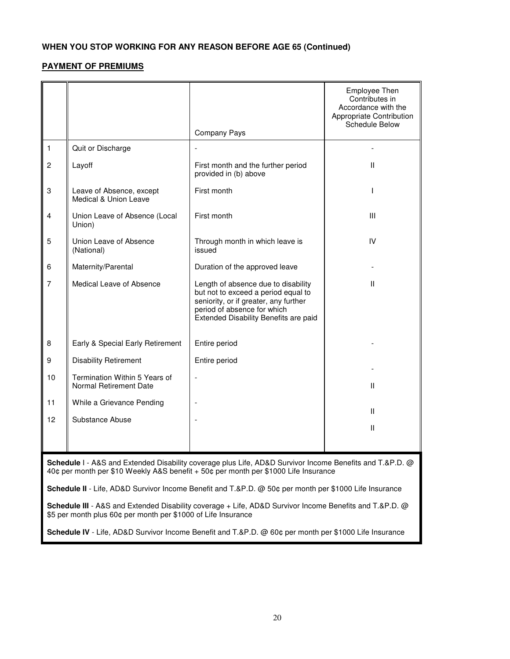# **PAYMENT OF PREMIUMS**

|                                                                                                                                                                                                                                                                                                           |                                                         | Company Pays                                                                                                                                                                                | Employee Then<br>Contributes in<br>Accordance with the<br>Appropriate Contribution<br>Schedule Below |  |  |
|-----------------------------------------------------------------------------------------------------------------------------------------------------------------------------------------------------------------------------------------------------------------------------------------------------------|---------------------------------------------------------|---------------------------------------------------------------------------------------------------------------------------------------------------------------------------------------------|------------------------------------------------------------------------------------------------------|--|--|
| 1                                                                                                                                                                                                                                                                                                         | Quit or Discharge                                       |                                                                                                                                                                                             |                                                                                                      |  |  |
| 2                                                                                                                                                                                                                                                                                                         | Layoff                                                  | First month and the further period<br>provided in (b) above                                                                                                                                 | Ш                                                                                                    |  |  |
| 3                                                                                                                                                                                                                                                                                                         | Leave of Absence, except<br>Medical & Union Leave       | First month                                                                                                                                                                                 | T                                                                                                    |  |  |
| 4                                                                                                                                                                                                                                                                                                         | Union Leave of Absence (Local<br>Union)                 | First month                                                                                                                                                                                 | Ш                                                                                                    |  |  |
| 5                                                                                                                                                                                                                                                                                                         | Union Leave of Absence<br>(National)                    | Through month in which leave is<br>issued                                                                                                                                                   | IV                                                                                                   |  |  |
| 6                                                                                                                                                                                                                                                                                                         | Maternity/Parental                                      | Duration of the approved leave                                                                                                                                                              |                                                                                                      |  |  |
| 7                                                                                                                                                                                                                                                                                                         | Medical Leave of Absence                                | Length of absence due to disability<br>but not to exceed a period equal to<br>seniority, or if greater, any further<br>period of absence for which<br>Extended Disability Benefits are paid | Ш                                                                                                    |  |  |
| 8                                                                                                                                                                                                                                                                                                         | Early & Special Early Retirement                        | Entire period                                                                                                                                                                               |                                                                                                      |  |  |
| 9                                                                                                                                                                                                                                                                                                         | <b>Disability Retirement</b>                            | Entire period                                                                                                                                                                               |                                                                                                      |  |  |
| 10                                                                                                                                                                                                                                                                                                        | Termination Within 5 Years of<br>Normal Retirement Date |                                                                                                                                                                                             | Ш                                                                                                    |  |  |
| 11                                                                                                                                                                                                                                                                                                        | While a Grievance Pending                               |                                                                                                                                                                                             | Ш                                                                                                    |  |  |
| 12                                                                                                                                                                                                                                                                                                        | Substance Abuse                                         |                                                                                                                                                                                             | Ш                                                                                                    |  |  |
|                                                                                                                                                                                                                                                                                                           |                                                         |                                                                                                                                                                                             |                                                                                                      |  |  |
| Schedule I - A&S and Extended Disability coverage plus Life, AD&D Survivor Income Benefits and T.&P.D. @<br>40¢ per month per \$10 Weekly A&S benefit + 50¢ per month per \$1000 Life Insurance<br>Schedule II - Life, AD&D Survivor Income Benefit and T.&P.D. @ 50¢ per month per \$1000 Life Insurance |                                                         |                                                                                                                                                                                             |                                                                                                      |  |  |

**Schedule III** - A&S and Extended Disability coverage + Life, AD&D Survivor Income Benefits and T.&P.D. @ \$5 per month plus 60¢ per month per \$1000 of Life Insurance

**Schedule IV** - Life, AD&D Survivor Income Benefit and T.&P.D. @ 60¢ per month per \$1000 Life Insurance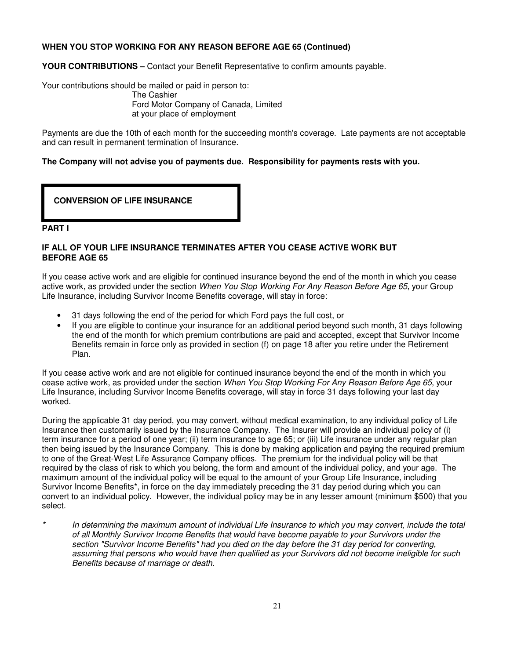**YOUR CONTRIBUTIONS –** Contact your Benefit Representative to confirm amounts payable.

Your contributions should be mailed or paid in person to: The Cashier

> Ford Motor Company of Canada, Limited at your place of employment

Payments are due the 10th of each month for the succeeding month's coverage. Late payments are not acceptable and can result in permanent termination of Insurance.

#### **The Company will not advise you of payments due. Responsibility for payments rests with you.**

**CONVERSION OF LIFE INSURANCE** 

#### **PART I**

#### **IF ALL OF YOUR LIFE INSURANCE TERMINATES AFTER YOU CEASE ACTIVE WORK BUT BEFORE AGE 65**

If you cease active work and are eligible for continued insurance beyond the end of the month in which you cease active work, as provided under the section When You Stop Working For Any Reason Before Age 65, your Group Life Insurance, including Survivor Income Benefits coverage, will stay in force:

- 31 days following the end of the period for which Ford pays the full cost, or
- If you are eligible to continue your insurance for an additional period beyond such month, 31 days following the end of the month for which premium contributions are paid and accepted, except that Survivor Income Benefits remain in force only as provided in section (f) on page 18 after you retire under the Retirement Plan.

If you cease active work and are not eligible for continued insurance beyond the end of the month in which you cease active work, as provided under the section When You Stop Working For Any Reason Before Age 65, your Life Insurance, including Survivor Income Benefits coverage, will stay in force 31 days following your last day worked.

During the applicable 31 day period, you may convert, without medical examination, to any individual policy of Life Insurance then customarily issued by the Insurance Company. The Insurer will provide an individual policy of (i) term insurance for a period of one year; (ii) term insurance to age 65; or (iii) Life insurance under any regular plan then being issued by the Insurance Company. This is done by making application and paying the required premium to one of the Great-West Life Assurance Company offices. The premium for the individual policy will be that required by the class of risk to which you belong, the form and amount of the individual policy, and your age. The maximum amount of the individual policy will be equal to the amount of your Group Life Insurance, including Survivor Income Benefits\*, in force on the day immediately preceding the 31 day period during which you can convert to an individual policy. However, the individual policy may be in any lesser amount (minimum \$500) that you select.

In determining the maximum amount of individual Life Insurance to which you may convert, include the total of all Monthly Survivor Income Benefits that would have become payable to your Survivors under the section "Survivor Income Benefits" had you died on the day before the 31 day period for converting, assuming that persons who would have then qualified as your Survivors did not become ineligible for such Benefits because of marriage or death.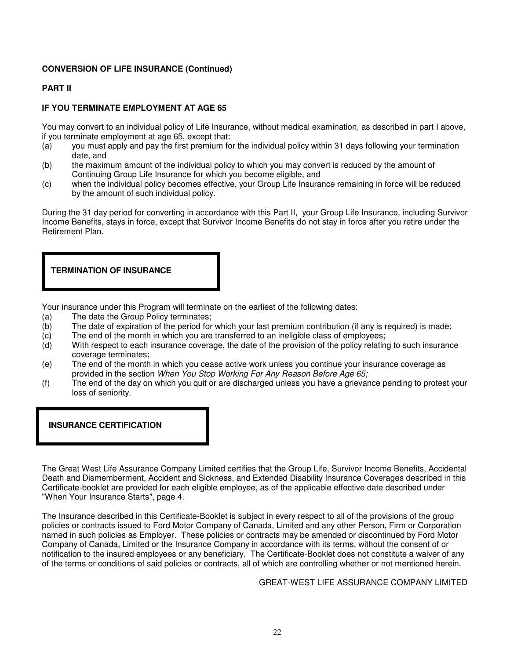# **CONVERSION OF LIFE INSURANCE (Continued)**

# **PART II**

# **IF YOU TERMINATE EMPLOYMENT AT AGE 65**

You may convert to an individual policy of Life Insurance, without medical examination, as described in part I above, if you terminate employment at age 65, except that:

- (a) you must apply and pay the first premium for the individual policy within 31 days following your termination date, and
- (b) the maximum amount of the individual policy to which you may convert is reduced by the amount of Continuing Group Life Insurance for which you become eligible, and
- (c) when the individual policy becomes effective, your Group Life Insurance remaining in force will be reduced by the amount of such individual policy.

During the 31 day period for converting in accordance with this Part II, your Group Life Insurance, including Survivor Income Benefits, stays in force, except that Survivor Income Benefits do not stay in force after you retire under the Retirement Plan.

# **TERMINATION OF INSURANCE**

Your insurance under this Program will terminate on the earliest of the following dates:

- (a) The date the Group Policy terminates;<br>(b) The date of expiration of the period for
- The date of expiration of the period for which your last premium contribution (if any is required) is made;
- (c) The end of the month in which you are transferred to an ineligible class of employees;
- (d) With respect to each insurance coverage, the date of the provision of the policy relating to such insurance coverage terminates;
- (e) The end of the month in which you cease active work unless you continue your insurance coverage as provided in the section When You Stop Working For Any Reason Before Age 65;
- (f) The end of the day on which you quit or are discharged unless you have a grievance pending to protest your loss of seniority.

# **INSURANCE CERTIFICATION**

The Great West Life Assurance Company Limited certifies that the Group Life, Survivor Income Benefits, Accidental Death and Dismemberment, Accident and Sickness, and Extended Disability Insurance Coverages described in this Certificate-booklet are provided for each eligible employee, as of the applicable effective date described under "When Your Insurance Starts", page 4.

The Insurance described in this Certificate-Booklet is subject in every respect to all of the provisions of the group policies or contracts issued to Ford Motor Company of Canada, Limited and any other Person, Firm or Corporation named in such policies as Employer. These policies or contracts may be amended or discontinued by Ford Motor Company of Canada, Limited or the Insurance Company in accordance with its terms, without the consent of or notification to the insured employees or any beneficiary. The Certificate-Booklet does not constitute a waiver of any of the terms or conditions of said policies or contracts, all of which are controlling whether or not mentioned herein.

GREAT-WEST LIFE ASSURANCE COMPANY LIMITED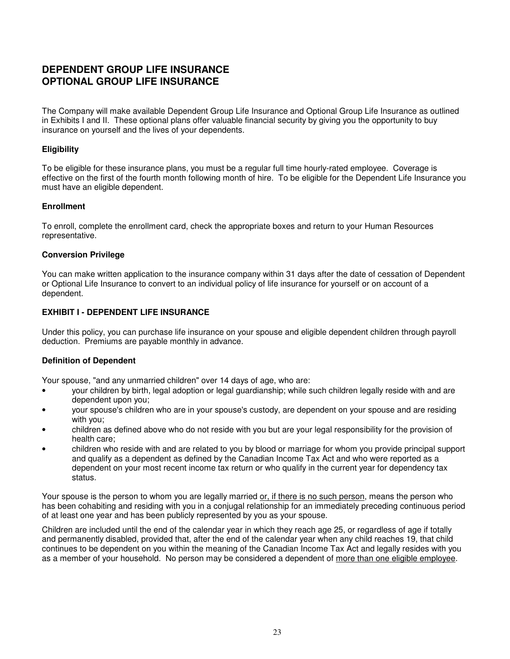# **DEPENDENT GROUP LIFE INSURANCE OPTIONAL GROUP LIFE INSURANCE**

The Company will make available Dependent Group Life Insurance and Optional Group Life Insurance as outlined in Exhibits I and II. These optional plans offer valuable financial security by giving you the opportunity to buy insurance on yourself and the lives of your dependents.

# **Eligibility**

To be eligible for these insurance plans, you must be a regular full time hourly-rated employee. Coverage is effective on the first of the fourth month following month of hire. To be eligible for the Dependent Life Insurance you must have an eligible dependent.

# **Enrollment**

To enroll, complete the enrollment card, check the appropriate boxes and return to your Human Resources representative.

# **Conversion Privilege**

You can make written application to the insurance company within 31 days after the date of cessation of Dependent or Optional Life Insurance to convert to an individual policy of life insurance for yourself or on account of a dependent.

# **EXHIBIT I - DEPENDENT LIFE INSURANCE**

Under this policy, you can purchase life insurance on your spouse and eligible dependent children through payroll deduction. Premiums are payable monthly in advance.

# **Definition of Dependent**

Your spouse, "and any unmarried children" over 14 days of age, who are:

- your children by birth, legal adoption or legal guardianship; while such children legally reside with and are dependent upon you;
- your spouse's children who are in your spouse's custody, are dependent on your spouse and are residing with you;
- children as defined above who do not reside with you but are your legal responsibility for the provision of health care;
- children who reside with and are related to you by blood or marriage for whom you provide principal support and qualify as a dependent as defined by the Canadian Income Tax Act and who were reported as a dependent on your most recent income tax return or who qualify in the current year for dependency tax status.

Your spouse is the person to whom you are legally married or, if there is no such person, means the person who has been cohabiting and residing with you in a conjugal relationship for an immediately preceding continuous period of at least one year and has been publicly represented by you as your spouse.

Children are included until the end of the calendar year in which they reach age 25, or regardless of age if totally and permanently disabled, provided that, after the end of the calendar year when any child reaches 19, that child continues to be dependent on you within the meaning of the Canadian Income Tax Act and legally resides with you as a member of your household. No person may be considered a dependent of more than one eligible employee.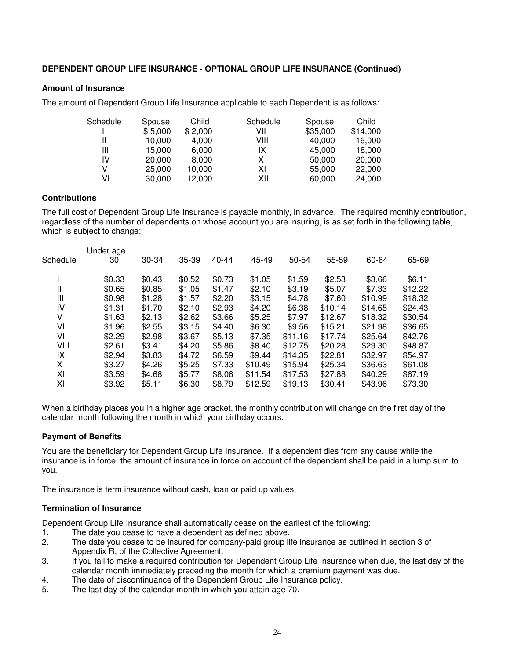# **DEPENDENT GROUP LIFE INSURANCE - OPTIONAL GROUP LIFE INSURANCE (Continued)**

#### **Amount of Insurance**

The amount of Dependent Group Life Insurance applicable to each Dependent is as follows:

| Schedule | Spouse  | Child   | Schedule | Spouse   | Child    |
|----------|---------|---------|----------|----------|----------|
|          | \$5,000 | \$2,000 | VII      | \$35,000 | \$14,000 |
|          | 10,000  | 4,000   | VIII     | 40,000   | 16,000   |
| Ш        | 15.000  | 6.000   | IX       | 45.000   | 18,000   |
| IV       | 20,000  | 8,000   | х        | 50,000   | 20,000   |
|          | 25,000  | 10,000  | ΧI       | 55,000   | 22,000   |
| V١       | 30,000  | 12,000  | XII      | 60,000   | 24,000   |

#### **Contributions**

The full cost of Dependent Group Life Insurance is payable monthly, in advance. The required monthly contribution, regardless of the number of dependents on whose account you are insuring, is as set forth in the following table, which is subject to change:

| Schedule<br>30 | 30-34<br>\$0.43 | 35-39  | $40 - 44$ | 45-49   | 50-54   | 55-59   | 60-64   | 65-69   |
|----------------|-----------------|--------|-----------|---------|---------|---------|---------|---------|
|                |                 |        |           |         |         |         |         |         |
|                |                 |        |           |         |         |         |         |         |
| \$0.33         |                 | \$0.52 | \$0.73    | \$1.05  | \$1.59  | \$2.53  | \$3.66  | \$6.11  |
| Ш<br>\$0.65    | \$0.85          | \$1.05 | \$1.47    | \$2.10  | \$3.19  | \$5.07  | \$7.33  | \$12.22 |
| Ш<br>\$0.98    | \$1.28          | \$1.57 | \$2.20    | \$3.15  | \$4.78  | \$7.60  | \$10.99 | \$18.32 |
| IV<br>\$1.31   | \$1.70          | \$2.10 | \$2.93    | \$4.20  | \$6.38  | \$10.14 | \$14.65 | \$24.43 |
| V<br>\$1.63    | \$2.13          | \$2.62 | \$3.66    | \$5.25  | \$7.97  | \$12.67 | \$18.32 | \$30.54 |
| VI<br>\$1.96   | \$2.55          | \$3.15 | \$4.40    | \$6.30  | \$9.56  | \$15.21 | \$21.98 | \$36.65 |
| VII<br>\$2.29  | \$2.98          | \$3.67 | \$5.13    | \$7.35  | \$11.16 | \$17.74 | \$25.64 | \$42.76 |
| VIII<br>\$2.61 | \$3.41          | \$4.20 | \$5.86    | \$8.40  | \$12.75 | \$20.28 | \$29.30 | \$48.87 |
| IX<br>\$2.94   | \$3.83          | \$4.72 | \$6.59    | \$9.44  | \$14.35 | \$22.81 | \$32.97 | \$54.97 |
| X<br>\$3.27    | \$4.26          | \$5.25 | \$7.33    | \$10.49 | \$15.94 | \$25.34 | \$36.63 | \$61.08 |
| XI<br>\$3.59   | \$4.68          | \$5.77 | \$8.06    | \$11.54 | \$17.53 | \$27.88 | \$40.29 | \$67.19 |
| XII<br>\$3.92  | \$5.11          | \$6.30 | \$8.79    | \$12.59 | \$19.13 | \$30.41 | \$43.96 | \$73.30 |

When a birthday places you in a higher age bracket, the monthly contribution will change on the first day of the calendar month following the month in which your birthday occurs.

# **Payment of Benefits**

You are the beneficiary for Dependent Group Life Insurance. If a dependent dies from any cause while the insurance is in force, the amount of insurance in force on account of the dependent shall be paid in a lump sum to you.

The insurance is term insurance without cash, loan or paid up values.

#### **Termination of Insurance**

Dependent Group Life Insurance shall automatically cease on the earliest of the following:

- 1. The date you cease to have a dependent as defined above.
- 2. The date you cease to be insured for company-paid group life insurance as outlined in section 3 of Appendix R, of the Collective Agreement.
- 3. If you fail to make a required contribution for Dependent Group Life Insurance when due, the last day of the calendar month immediately preceding the month for which a premium payment was due.
- 4. The date of discontinuance of the Dependent Group Life Insurance policy.
- 5. The last day of the calendar month in which you attain age 70.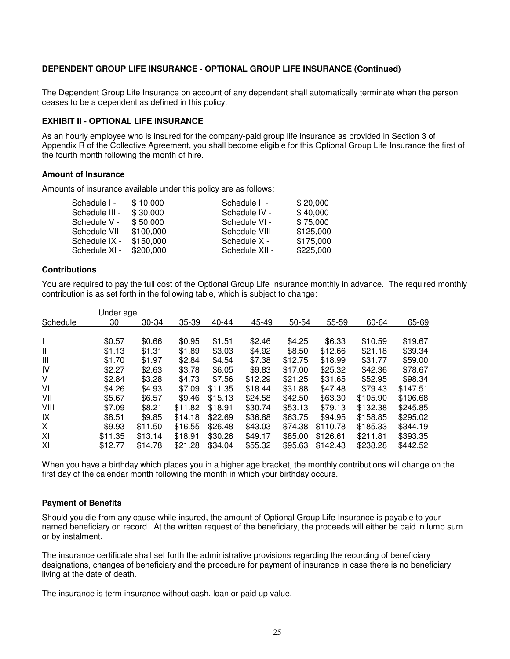#### **DEPENDENT GROUP LIFE INSURANCE - OPTIONAL GROUP LIFE INSURANCE (Continued)**

The Dependent Group Life Insurance on account of any dependent shall automatically terminate when the person ceases to be a dependent as defined in this policy.

#### **EXHIBIT II - OPTIONAL LIFE INSURANCE**

As an hourly employee who is insured for the company-paid group life insurance as provided in Section 3 of Appendix R of the Collective Agreement, you shall become eligible for this Optional Group Life Insurance the first of the fourth month following the month of hire.

#### **Amount of Insurance**

Amounts of insurance available under this policy are as follows:

| \$20,000  |
|-----------|
| \$40,000  |
| \$75,000  |
| \$125,000 |
| \$175,000 |
| \$225,000 |
|           |

#### **Contributions**

You are required to pay the full cost of the Optional Group Life Insurance monthly in advance. The required monthly contribution is as set forth in the following table, which is subject to change:

|              | Under age |         |         |         |         |         |          |          |          |
|--------------|-----------|---------|---------|---------|---------|---------|----------|----------|----------|
| Schedule     | 30        | 30-34   | 35-39   | 40-44   | 45-49   | 50-54   | 55-59    | 60-64    | 65-69    |
|              |           |         |         |         |         |         |          |          |          |
|              | \$0.57    | \$0.66  | \$0.95  | \$1.51  | \$2.46  | \$4.25  | \$6.33   | \$10.59  | \$19.67  |
| $\mathbf{I}$ | \$1.13    | \$1.31  | \$1.89  | \$3.03  | \$4.92  | \$8.50  | \$12.66  | \$21.18  | \$39.34  |
| Ш            | \$1.70    | \$1.97  | \$2.84  | \$4.54  | \$7.38  | \$12.75 | \$18.99  | \$31.77  | \$59.00  |
| IV           | \$2.27    | \$2.63  | \$3.78  | \$6.05  | \$9.83  | \$17.00 | \$25.32  | \$42.36  | \$78.67  |
| V            | \$2.84    | \$3.28  | \$4.73  | \$7.56  | \$12.29 | \$21.25 | \$31.65  | \$52.95  | \$98.34  |
| VI           | \$4.26    | \$4.93  | \$7.09  | \$11.35 | \$18.44 | \$31.88 | \$47.48  | \$79.43  | \$147.51 |
| VII          | \$5.67    | \$6.57  | \$9.46  | \$15.13 | \$24.58 | \$42.50 | \$63.30  | \$105.90 | \$196.68 |
| VIII         | \$7.09    | \$8.21  | \$11.82 | \$18.91 | \$30.74 | \$53.13 | \$79.13  | \$132.38 | \$245.85 |
| IX           | \$8.51    | \$9.85  | \$14.18 | \$22.69 | \$36.88 | \$63.75 | \$94.95  | \$158.85 | \$295.02 |
| X            | \$9.93    | \$11.50 | \$16.55 | \$26.48 | \$43.03 | \$74.38 | \$110.78 | \$185.33 | \$344.19 |
| XI           | \$11.35   | \$13.14 | \$18.91 | \$30.26 | \$49.17 | \$85.00 | \$126.61 | \$211.81 | \$393.35 |
| XII          | \$12.77   | \$14.78 | \$21.28 | \$34.04 | \$55.32 | \$95.63 | \$142.43 | \$238.28 | \$442.52 |

When you have a birthday which places you in a higher age bracket, the monthly contributions will change on the first day of the calendar month following the month in which your birthday occurs.

#### **Payment of Benefits**

Should you die from any cause while insured, the amount of Optional Group Life Insurance is payable to your named beneficiary on record. At the written request of the beneficiary, the proceeds will either be paid in lump sum or by instalment.

The insurance certificate shall set forth the administrative provisions regarding the recording of beneficiary designations, changes of beneficiary and the procedure for payment of insurance in case there is no beneficiary living at the date of death.

The insurance is term insurance without cash, loan or paid up value.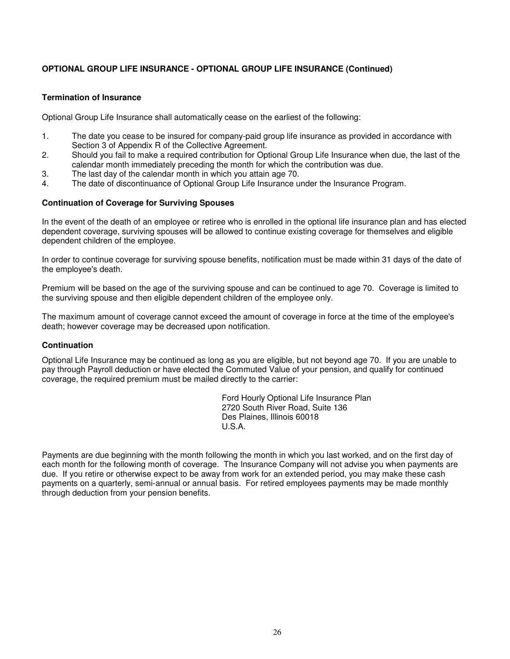# **OPTIONAL GROUP LIFE INSURANCE - OPTIONAL GROUP LIFE INSURANCE (Continued)**

#### **Termination of Insurance**

Optional Group Life Insurance shall automatically cease on the earliest of the following:

- 1. The date you cease to be insured for company-paid group life insurance as provided in accordance with Section 3 of Appendix R of the Collective Agreement.
- 2. Should you fail to make a required contribution for Optional Group Life Insurance when due, the last of the calendar month immediately preceding the month for which the contribution was due.
- 3. The last day of the calendar month in which you attain age 70.
- 4. The date of discontinuance of Optional Group Life Insurance under the Insurance Program.

#### **Continuation of Coverage for Surviving Spouses**

In the event of the death of an employee or retiree who is enrolled in the optional life insurance plan and has elected dependent coverage, surviving spouses will be allowed to continue existing coverage for themselves and eligible dependent children of the employee.

In order to continue coverage for surviving spouse benefits, notification must be made within 31 days of the date of the employee's death.

Premium will be based on the age of the surviving spouse and can be continued to age 70. Coverage is limited to the surviving spouse and then eligible dependent children of the employee only.

The maximum amount of coverage cannot exceed the amount of coverage in force at the time of the employee's death; however coverage may be decreased upon notification.

#### **Continuation**

Optional Life Insurance may be continued as long as you are eligible, but not beyond age 70. If you are unable to pay through Payroll deduction or have elected the Commuted Value of your pension, and qualify for continued coverage, the required premium must be mailed directly to the carrier:

 Ford Hourly Optional Life Insurance Plan 2720 South River Road, Suite 136 Des Plaines, Illinois 60018 U.S.A.

Payments are due beginning with the month following the month in which you last worked, and on the first day of each month for the following month of coverage. The Insurance Company will not advise you when payments are due. If you retire or otherwise expect to be away from work for an extended period, you may make these cash payments on a quarterly, semi-annual or annual basis. For retired employees payments may be made monthly through deduction from your pension benefits.